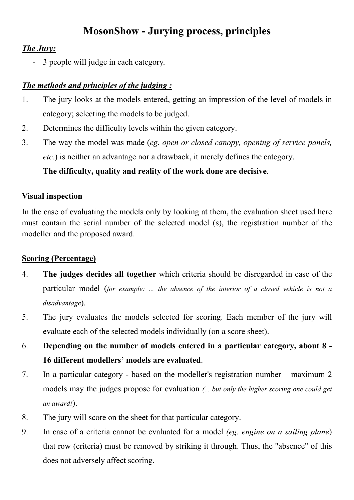# **MosonShow - Jurying process, principles**

#### *The Jury:*

- 3 people will judge in each category.

### *The methods and principles of the judging :*

- 1. The jury looks at the models entered, getting an impression of the level of models in category; selecting the models to be judged.
- 2. Determines the difficulty levels within the given category.
- 3. The way the model was made (*eg. open or closed canopy, opening of service panels, etc.*) is neither an advantage nor a drawback, it merely defines the category.

## **The difficulty, quality and reality of the work done are decisive**.

#### **Visual inspection**

In the case of evaluating the models only by looking at them, the evaluation sheet used here must contain the serial number of the selected model (s), the registration number of the modeller and the proposed award.

#### **Scoring (Percentage)**

- 4. **The judges decides all together** which criteria should be disregarded in case of the particular model (*for example: ... the absence of the interior of a closed vehicle is not a disadvantage*).
- 5. The jury evaluates the models selected for scoring. Each member of the jury will evaluate each of the selected models individually (on a score sheet).
- 6. **Depending on the number of models entered in a particular category, about 8 - 16 different modellers' models are evaluated**.
- 7. In a particular category based on the modeller's registration number maximum 2 models may the judges propose for evaluation *(... but only the higher scoring one could get an award!*).
- 8. The jury will score on the sheet for that particular category.
- 9. In case of a criteria cannot be evaluated for a model *(eg. engine on a sailing plane*) that row (criteria) must be removed by striking it through. Thus, the "absence" of this does not adversely affect scoring.